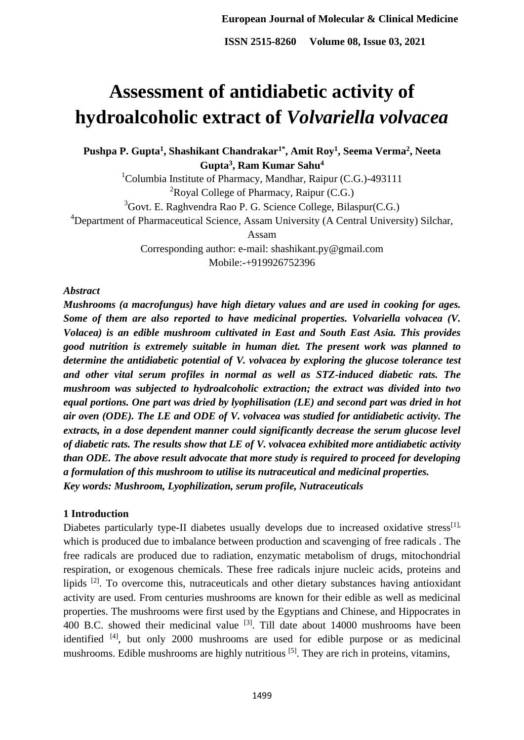# **Assessment of antidiabetic activity of hydroalcoholic extract of** *Volvariella volvacea*

**Pushpa P. Gupta<sup>1</sup> , Shashikant Chandrakar1\* , Amit Roy<sup>1</sup> , Seema Verma<sup>2</sup> , Neeta Gupta<sup>3</sup> , Ram Kumar Sahu<sup>4</sup>**

> <sup>1</sup>Columbia Institute of Pharmacy, Mandhar, Raipur (C.G.)-493111  ${}^{2}$ Royal College of Pharmacy, Raipur (C.G.)

 $3^3$ Govt. E. Raghvendra Rao P. G. Science College, Bilaspur(C.G.)

<sup>4</sup>Department of Pharmaceutical Science, Assam University (A Central University) Silchar,

Assam

Corresponding author: e-mail: [shashikant.py@gmail.com](mailto:shashikant.py@gmail.com) Mobile:-+919926752396

## *Abstract*

*Mushrooms (a macrofungus) have high dietary values and are used in cooking for ages. Some of them are also reported to have medicinal properties. Volvariella volvacea (V. Volacea) is an edible mushroom cultivated in East and South East Asia. This provides good nutrition is extremely suitable in human diet. The present work was planned to determine the antidiabetic potential of V. volvacea by exploring the glucose tolerance test and other vital serum profiles in normal as well as STZ-induced diabetic rats. The mushroom was subjected to hydroalcoholic extraction; the extract was divided into two equal portions. One part was dried by lyophilisation (LE) and second part was dried in hot air oven (ODE). The LE and ODE of V. volvacea was studied for antidiabetic activity. The extracts, in a dose dependent manner could significantly decrease the serum glucose level of diabetic rats. The results show that LE of V. volvacea exhibited more antidiabetic activity than ODE. The above result advocate that more study is required to proceed for developing a formulation of this mushroom to utilise its nutraceutical and medicinal properties. Key words: Mushroom, Lyophilization, serum profile, Nutraceuticals*

## **1 Introduction**

Diabetes particularly type-II diabetes usually develops due to increased oxidative stress<sup>[1],</sup> which is produced due to imbalance between production and scavenging of free radicals . The free radicals are produced due to radiation, enzymatic metabolism of drugs, mitochondrial respiration, or exogenous chemicals. These free radicals injure nucleic acids, proteins and lipids [2]. To overcome this, nutraceuticals and other dietary substances having antioxidant activity are used. From centuries mushrooms are known for their edible as well as medicinal properties. The mushrooms were first used by the Egyptians and Chinese, and Hippocrates in 400 B.C. showed their medicinal value  $^{[3]}$ . Till date about 14000 mushrooms have been identified <sup>[4]</sup>, but only 2000 mushrooms are used for edible purpose or as medicinal mushrooms. Edible mushrooms are highly nutritious <sup>[5]</sup>. They are rich in proteins, vitamins,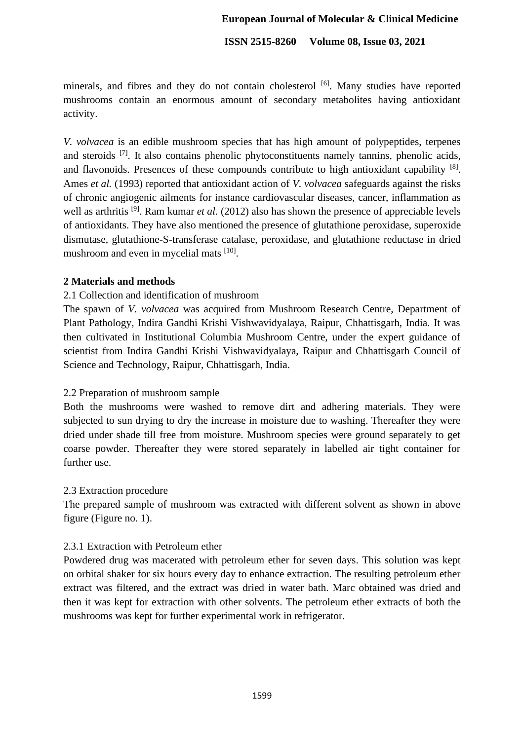#### **European Journal of Molecular & Clinical Medicine**

**ISSN 2515-8260 Volume 08, Issue 03, 2021**

minerals, and fibres and they do not contain cholesterol [6]. Many studies have reported mushrooms contain an enormous amount of secondary metabolites having antioxidant activity.

*V. volvacea* is an edible mushroom species that has high amount of polypeptides, terpenes and steroids <sup>[7]</sup>. It also contains phenolic phytoconstituents namely tannins, phenolic acids, and flavonoids. Presences of these compounds contribute to high antioxidant capability <sup>[8]</sup>. Ames *et al.* (1993) reported that antioxidant action of *V. volvacea* safeguards against the risks of chronic angiogenic ailments for instance cardiovascular diseases, cancer, inflammation as well as arthritis <sup>[9]</sup>. Ram kumar *et al.* (2012) also has shown the presence of appreciable levels of antioxidants. They have also mentioned the presence of glutathione peroxidase, superoxide dismutase, glutathione-S-transferase catalase, peroxidase, and glutathione reductase in dried mushroom and even in mycelial mats [10].

## **2 Materials and methods**

## 2.1 Collection and identification of mushroom

The spawn of *V. volvacea* was acquired from Mushroom Research Centre, Department of Plant Pathology, Indira Gandhi Krishi Vishwavidyalaya, Raipur, Chhattisgarh, India. It was then cultivated in Institutional Columbia Mushroom Centre, under the expert guidance of scientist from Indira Gandhi Krishi Vishwavidyalaya, Raipur and Chhattisgarh Council of Science and Technology, Raipur, Chhattisgarh, India.

## 2.2 Preparation of mushroom sample

Both the mushrooms were washed to remove dirt and adhering materials. They were subjected to sun drying to dry the increase in moisture due to washing. Thereafter they were dried under shade till free from moisture. Mushroom species were ground separately to get coarse powder. Thereafter they were stored separately in labelled air tight container for further use.

#### 2.3 Extraction procedure

The prepared sample of mushroom was extracted with different solvent as shown in above figure (Figure no. 1).

#### 2.3.1 Extraction with Petroleum ether

Powdered drug was macerated with petroleum ether for seven days. This solution was kept on orbital shaker for six hours every day to enhance extraction. The resulting petroleum ether extract was filtered, and the extract was dried in water bath. Marc obtained was dried and then it was kept for extraction with other solvents. The petroleum ether extracts of both the mushrooms was kept for further experimental work in refrigerator.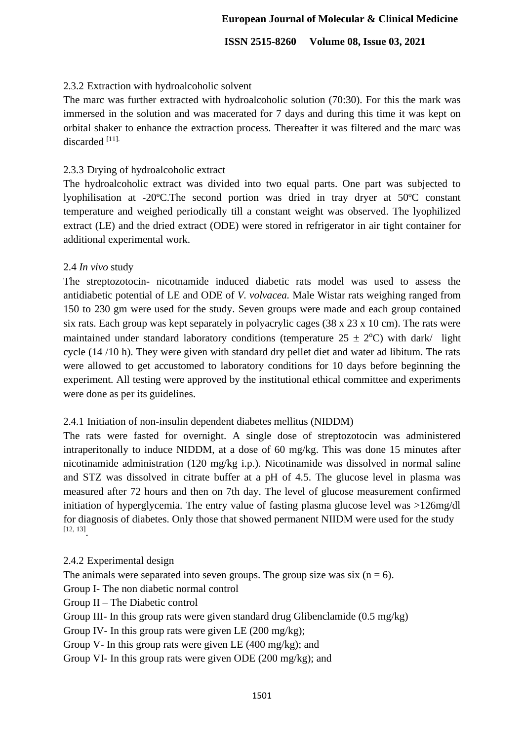# 2.3.2 Extraction with hydroalcoholic solvent

The marc was further extracted with hydroalcoholic solution (70:30). For this the mark was immersed in the solution and was macerated for 7 days and during this time it was kept on orbital shaker to enhance the extraction process. Thereafter it was filtered and the marc was discarded [11].

## 2.3.3 Drying of hydroalcoholic extract

The hydroalcoholic extract was divided into two equal parts. One part was subjected to lyophilisation at -20ºC.The second portion was dried in tray dryer at 50ºC constant temperature and weighed periodically till a constant weight was observed. The lyophilized extract (LE) and the dried extract (ODE) were stored in refrigerator in air tight container for additional experimental work.

## 2.4 *In vivo* study

The streptozotocin- nicotnamide induced diabetic rats model was used to assess the antidiabetic potential of LE and ODE of *V. volvacea.* Male Wistar rats weighing ranged from 150 to 230 gm were used for the study. Seven groups were made and each group contained six rats. Each group was kept separately in polyacrylic cages (38 x 23 x 10 cm). The rats were maintained under standard laboratory conditions (temperature  $25 \pm 2$ °C) with dark/ light cycle (14 /10 h). They were given with standard dry pellet diet and water ad libitum. The rats were allowed to get accustomed to laboratory conditions for 10 days before beginning the experiment. All testing were approved by the institutional ethical committee and experiments were done as per its guidelines.

## 2.4.1 Initiation of non-insulin dependent diabetes mellitus (NIDDM)

The rats were fasted for overnight. A single dose of streptozotocin was administered intraperitonally to induce NIDDM, at a dose of 60 mg/kg. This was done 15 minutes after nicotinamide administration (120 mg/kg i.p.). Nicotinamide was dissolved in normal saline and STZ was dissolved in citrate buffer at a pH of 4.5. The glucose level in plasma was measured after 72 hours and then on 7th day. The level of glucose measurement confirmed initiation of hyperglycemia. The entry value of fasting plasma glucose level was >126mg/dl for diagnosis of diabetes. Only those that showed permanent NIIDM were used for the study [12, 13] .

2.4.2 Experimental design The animals were separated into seven groups. The group size was six  $(n = 6)$ . Group I- The non diabetic normal control Group II – The Diabetic control Group III- In this group rats were given standard drug Glibenclamide (0.5 mg/kg) Group IV- In this group rats were given LE (200 mg/kg); Group V- In this group rats were given LE (400 mg/kg); and Group VI- In this group rats were given ODE (200 mg/kg); and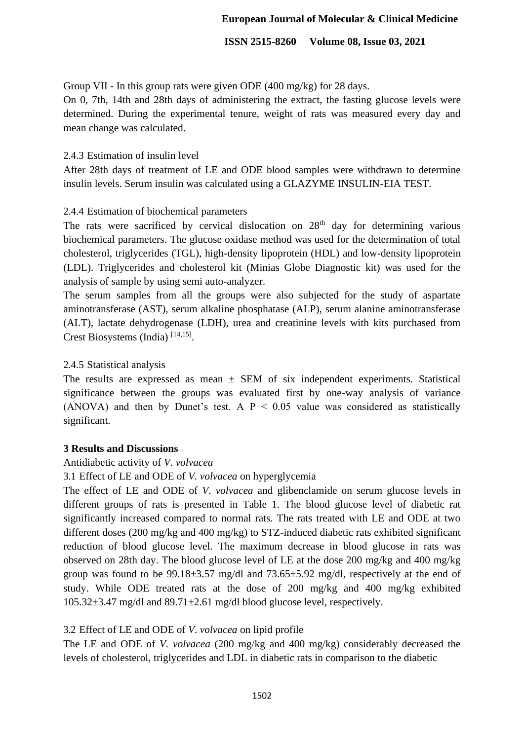Group VII - In this group rats were given ODE (400 mg/kg) for 28 days.

On 0, 7th, 14th and 28th days of administering the extract, the fasting glucose levels were determined. During the experimental tenure, weight of rats was measured every day and mean change was calculated.

## 2.4.3 Estimation of insulin level

After 28th days of treatment of LE and ODE blood samples were withdrawn to determine insulin levels. Serum insulin was calculated using a GLAZYME INSULIN-EIA TEST.

# 2.4.4 Estimation of biochemical parameters

The rats were sacrificed by cervical dislocation on 28<sup>th</sup> day for determining various biochemical parameters. The glucose oxidase method was used for the determination of total cholesterol, triglycerides (TGL), high-density lipoprotein (HDL) and low-density lipoprotein (LDL). Triglycerides and cholesterol kit (Minias Globe Diagnostic kit) was used for the analysis of sample by using semi auto-analyzer.

The serum samples from all the groups were also subjected for the study of aspartate aminotransferase (AST), serum alkaline phosphatase (ALP), serum alanine aminotransferase (ALT), lactate dehydrogenase (LDH), urea and creatinine levels with kits purchased from Crest Biosystems (India)<sup>[14,15]</sup>.

# 2.4.5 Statistical analysis

The results are expressed as mean  $\pm$  SEM of six independent experiments. Statistical significance between the groups was evaluated first by one-way analysis of variance (ANOVA) and then by Dunet's test. A  $P < 0.05$  value was considered as statistically significant.

## **3 Results and Discussions**

# Antidiabetic activity of *V. volvacea*

# 3.1 Effect of LE and ODE of *V. volvacea* on hyperglycemia

The effect of LE and ODE of *V. volvacea* and glibenclamide on serum glucose levels in different groups of rats is presented in Table 1. The blood glucose level of diabetic rat significantly increased compared to normal rats. The rats treated with LE and ODE at two different doses (200 mg/kg and 400 mg/kg) to STZ-induced diabetic rats exhibited significant reduction of blood glucose level. The maximum decrease in blood glucose in rats was observed on 28th day. The blood glucose level of LE at the dose 200 mg/kg and 400 mg/kg group was found to be  $99.18\pm3.57$  mg/dl and  $73.65\pm5.92$  mg/dl, respectively at the end of study. While ODE treated rats at the dose of 200 mg/kg and 400 mg/kg exhibited 105.32±3.47 mg/dl and 89.71±2.61 mg/dl blood glucose level, respectively.

# 3.2 Effect of LE and ODE of *V. volvacea* on lipid profile

The LE and ODE of *V. volvacea* (200 mg/kg and 400 mg/kg) considerably decreased the levels of cholesterol, triglycerides and LDL in diabetic rats in comparison to the diabetic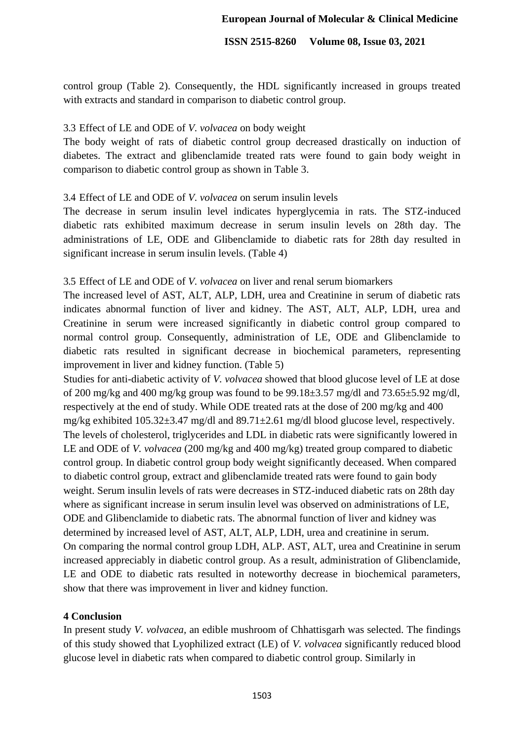control group (Table 2). Consequently, the HDL significantly increased in groups treated with extracts and standard in comparison to diabetic control group.

## 3.3 Effect of LE and ODE of *V. volvacea* on body weight

The body weight of rats of diabetic control group decreased drastically on induction of diabetes. The extract and glibenclamide treated rats were found to gain body weight in comparison to diabetic control group as shown in Table 3.

# 3.4 Effect of LE and ODE of *V. volvacea* on serum insulin levels

The decrease in serum insulin level indicates hyperglycemia in rats. The STZ-induced diabetic rats exhibited maximum decrease in serum insulin levels on 28th day. The administrations of LE, ODE and Glibenclamide to diabetic rats for 28th day resulted in significant increase in serum insulin levels. (Table 4)

# 3.5 Effect of LE and ODE of *V. volvacea* on liver and renal serum biomarkers

The increased level of AST, ALT, ALP, LDH, urea and Creatinine in serum of diabetic rats indicates abnormal function of liver and kidney. The AST, ALT, ALP, LDH, urea and Creatinine in serum were increased significantly in diabetic control group compared to normal control group. Consequently, administration of LE, ODE and Glibenclamide to diabetic rats resulted in significant decrease in biochemical parameters, representing improvement in liver and kidney function. (Table 5)

Studies for anti-diabetic activity of *V. volvacea* showed that blood glucose level of LE at dose of 200 mg/kg and 400 mg/kg group was found to be 99.18±3.57 mg/dl and 73.65±5.92 mg/dl, respectively at the end of study. While ODE treated rats at the dose of 200 mg/kg and 400 mg/kg exhibited 105.32±3.47 mg/dl and 89.71±2.61 mg/dl blood glucose level, respectively. The levels of cholesterol, triglycerides and LDL in diabetic rats were significantly lowered in LE and ODE of *V. volvacea* (200 mg/kg and 400 mg/kg) treated group compared to diabetic control group. In diabetic control group body weight significantly deceased. When compared to diabetic control group, extract and glibenclamide treated rats were found to gain body weight. Serum insulin levels of rats were decreases in STZ-induced diabetic rats on 28th day where as significant increase in serum insulin level was observed on administrations of LE, ODE and Glibenclamide to diabetic rats. The abnormal function of liver and kidney was determined by increased level of AST, ALT, ALP, LDH, urea and creatinine in serum. On comparing the normal control group LDH, ALP. AST, ALT, urea and Creatinine in serum increased appreciably in diabetic control group. As a result, administration of Glibenclamide, LE and ODE to diabetic rats resulted in noteworthy decrease in biochemical parameters, show that there was improvement in liver and kidney function.

# **4 Conclusion**

In present study *V. volvacea,* an edible mushroom of Chhattisgarh was selected. The findings of this study showed that Lyophilized extract (LE) of *V. volvacea* significantly reduced blood glucose level in diabetic rats when compared to diabetic control group. Similarly in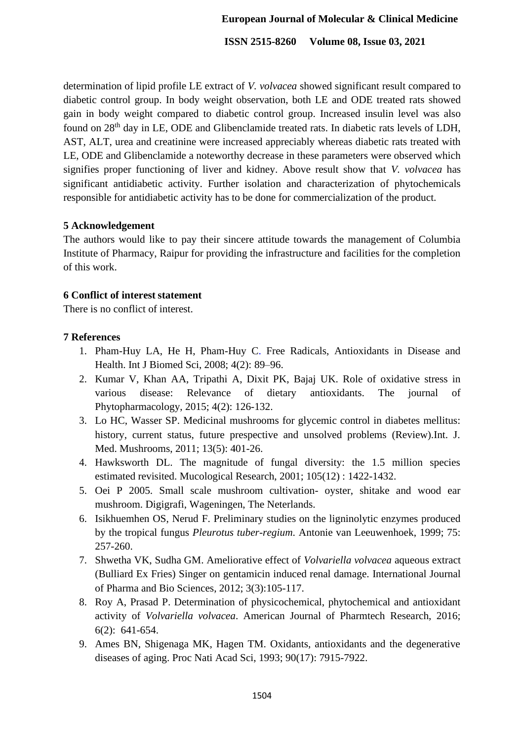determination of lipid profile LE extract of *V. volvacea* showed significant result compared to diabetic control group. In body weight observation, both LE and ODE treated rats showed gain in body weight compared to diabetic control group. Increased insulin level was also found on 28<sup>th</sup> day in LE, ODE and Glibenclamide treated rats. In diabetic rats levels of LDH, AST, ALT, urea and creatinine were increased appreciably whereas diabetic rats treated with LE, ODE and Glibenclamide a noteworthy decrease in these parameters were observed which signifies proper functioning of liver and kidney. Above result show that *V. volvacea* has significant antidiabetic activity. Further isolation and characterization of phytochemicals responsible for antidiabetic activity has to be done for commercialization of the product.

# **5 Acknowledgement**

The authors would like to pay their sincere attitude towards the management of Columbia Institute of Pharmacy, Raipur for providing the infrastructure and facilities for the completion of this work.

# **6 Conflict of interest statement**

There is no conflict of interest.

# **7 References**

- 1. Pham-Huy LA, He H, Pham-Huy C. Free Radicals, Antioxidants in Disease and Health. Int J Biomed Sci, 2008; 4(2): 89–96.
- 2. Kumar V, Khan AA, Tripathi A, Dixit PK, Bajaj UK. Role of oxidative stress in various disease: Relevance of dietary antioxidants. The journal of Phytopharmacology, 2015; 4(2): 126-132.
- 3. Lo HC, Wasser SP. Medicinal mushrooms for glycemic control in diabetes mellitus: history, current status, future prespective and unsolved problems (Review).Int. J. Med. Mushrooms, 2011; 13(5): 401-26.
- 4. Hawksworth DL. The magnitude of fungal diversity: the 1.5 million species estimated revisited. Mucological Research, 2001; 105(12) : 1422-1432.
- 5. Oei P 2005. Small scale mushroom cultivation- oyster, shitake and wood ear mushroom. Digigrafi, Wageningen, The Neterlands.
- 6. Isikhuemhen OS, Nerud F. Preliminary studies on the ligninolytic enzymes produced by the tropical fungus *Pleurotus tuber-regium*. Antonie van Leeuwenhoek, 1999; 75: 257-260.
- 7. Shwetha VK, Sudha GM. Ameliorative effect of *Volvariella volvacea* aqueous extract (Bulliard Ex Fries) Singer on gentamicin induced renal damage. International Journal of Pharma and Bio Sciences, 2012; 3(3):105-117.
- 8. Roy A, Prasad P. Determination of physicochemical, phytochemical and antioxidant activity of *Volvariella volvacea*. American Journal of Pharmtech Research, 2016; 6(2): 641-654.
- 9. Ames BN, Shigenaga MK, Hagen TM. Oxidants, antioxidants and the degenerative diseases of aging. Proc Nati Acad Sci, 1993; 90(17): 7915-7922.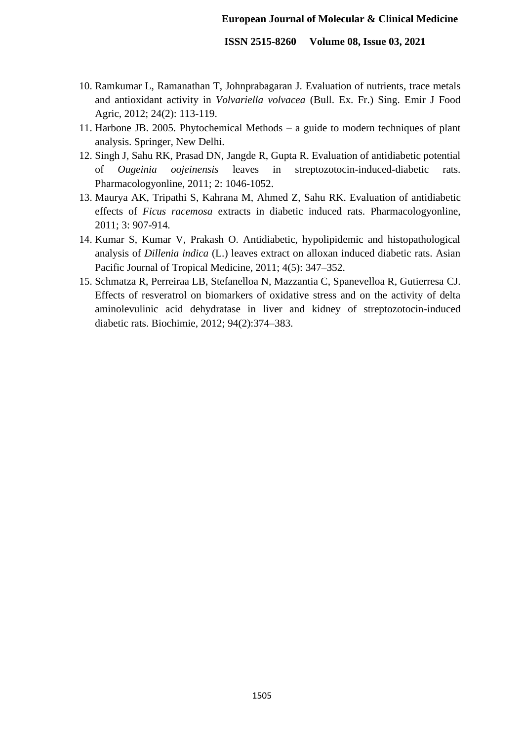#### **European Journal of Molecular & Clinical Medicine**

**ISSN 2515-8260 Volume 08, Issue 03, 2021**

- 10. Ramkumar L, Ramanathan T, Johnprabagaran J. Evaluation of nutrients, trace metals and antioxidant activity in *Volvariella volvacea* (Bull. Ex. Fr.) Sing. Emir J Food Agric, 2012; 24(2): 113-119.
- 11. Harbone JB. 2005. Phytochemical Methods a guide to modern techniques of plant analysis. Springer, New Delhi.
- 12. Singh J, Sahu RK, Prasad DN, Jangde R, Gupta R. Evaluation of antidiabetic potential of *Ougeinia oojeinensis* leaves in streptozotocin-induced-diabetic rats. Pharmacologyonline, 2011; 2: 1046-1052.
- 13. Maurya AK, Tripathi S, Kahrana M, Ahmed Z, Sahu RK. Evaluation of antidiabetic effects of *Ficus racemosa* extracts in diabetic induced rats. Pharmacologyonline, 2011; 3: 907-914*.*
- 14. Kumar S, Kumar V, Prakash O. Antidiabetic, hypolipidemic and histopathological analysis of *Dillenia indica* (L.) leaves extract on alloxan induced diabetic rats. Asian Pacific Journal of Tropical Medicine, 2011; 4(5): 347–352.
- 15. Schmatza R, Perreiraa LB, Stefanelloa N, Mazzantia C, Spanevelloa R, Gutierresa CJ. Effects of resveratrol on biomarkers of oxidative stress and on the activity of delta aminolevulinic acid dehydratase in liver and kidney of streptozotocin-induced diabetic rats. Biochimie, 2012; 94(2):374–383.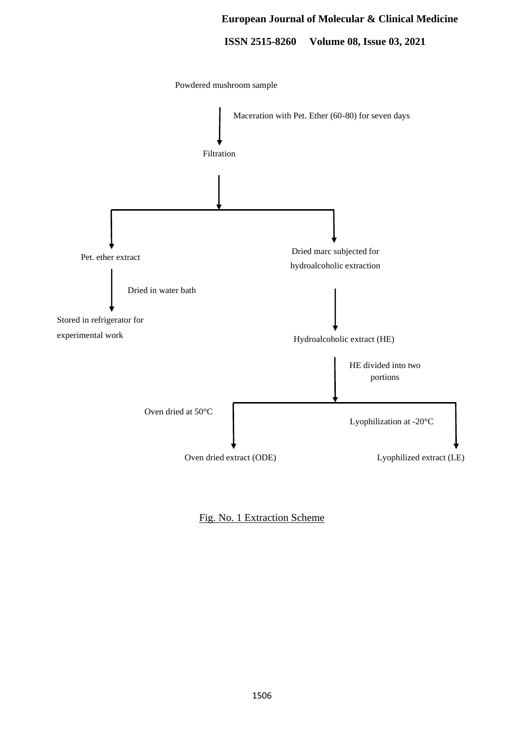#### **European Journal of Molecular & Clinical Medicine**

**ISSN 2515-8260 Volume 08, Issue 03, 2021**



Fig. No. 1 Extraction Scheme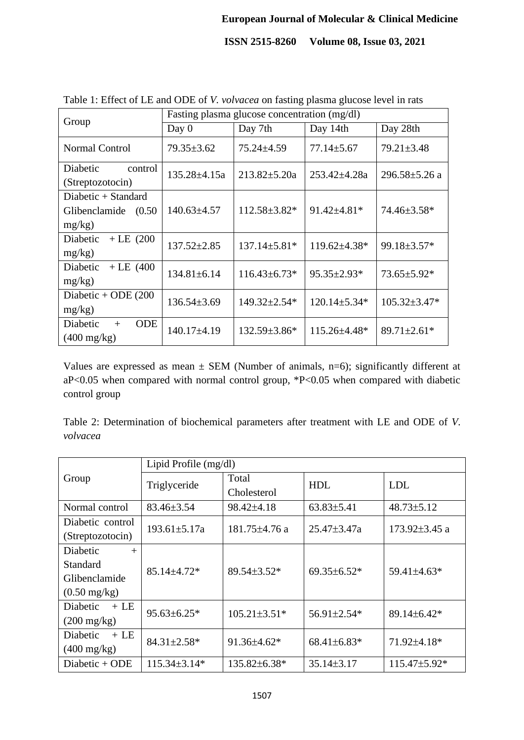|                                                           | Fasting plasma glucose concentration (mg/dl) |                     |                    |                     |  |
|-----------------------------------------------------------|----------------------------------------------|---------------------|--------------------|---------------------|--|
| Group                                                     | Day 0                                        | Day 7th<br>Day 14th |                    | Day 28th            |  |
| Normal Control                                            | $79.35 \pm 3.62$                             | $75.24 \pm 4.59$    | $77.14 \pm 5.67$   | $79.21 \pm 3.48$    |  |
| Diabetic<br>control<br>(Streptozotocin)                   | $135.28 \pm 4.15a$                           | $213.82 \pm 5.20a$  | $253.42 \pm 4.28a$ | $296.58 \pm 5.26$ a |  |
| Diabetic $+$ Standard<br>Glibenclamide (0.50<br>$mg/kg$ ) | $140.63 \pm 4.57$                            | $112.58 \pm 3.82*$  | $91.42 \pm 4.81*$  | 74.46±3.58*         |  |
| $+$ LE (200)<br>Diabetic<br>mg/kg)                        | $137.52 \pm 2.85$                            | $137.14 \pm 5.81*$  | 119.62±4.38*       | 99.18±3.57*         |  |
| Diabetic<br>$+$ LE (400)<br>mg/kg)                        | $134.81 \pm 6.14$                            | $116.43 \pm 6.73*$  | $95.35 \pm 2.93*$  | $73.65 \pm 5.92*$   |  |
| Diabetic + ODE $(200$<br>mg/kg)                           | $136.54 \pm 3.69$                            | $149.32 \pm 2.54*$  | $120.14 \pm 5.34*$ | $105.32 \pm 3.47*$  |  |
| <b>ODE</b><br>Diabetic<br>$+$<br>$(400 \text{ mg/kg})$    | $140.17 \pm 4.19$                            | $132.59 \pm 3.86^*$ | 115.26±4.48*       | $89.71 \pm 2.61*$   |  |

Table 1: Effect of LE and ODE of *V. volvacea* on fasting plasma glucose level in rats

Values are expressed as mean  $\pm$  SEM (Number of animals, n=6); significantly different at aP<0.05 when compared with normal control group,  $*P<0.05$  when compared with diabetic control group

Table 2: Determination of biochemical parameters after treatment with LE and ODE of *V. volvacea*

|                           | Lipid Profile (mg/dl) |                     |                   |                     |  |
|---------------------------|-----------------------|---------------------|-------------------|---------------------|--|
| Group                     | Triglyceride          | Total               | <b>HDL</b>        | <b>LDL</b>          |  |
|                           |                       | Cholesterol         |                   |                     |  |
| Normal control            | $83.46 \pm 3.54$      | 98.42±4.18          | $63.83 \pm 5.41$  | $48.73 \pm 5.12$    |  |
| Diabetic control          | $193.61 \pm 5.17a$    | $181.75 \pm 4.76$ a | $25.47 \pm 3.47a$ | 173.92 $\pm$ 3.45 a |  |
| (Streptozotocin)          |                       |                     |                   |                     |  |
| <b>Diabetic</b><br>$^{+}$ |                       |                     |                   |                     |  |
| Standard                  | $85.14 \pm 4.72*$     | 89.54±3.52*         | $69.35\pm 6.52*$  | 59.41±4.63*         |  |
| Glibenclamide             |                       |                     |                   |                     |  |
| $(0.50 \text{ mg/kg})$    |                       |                     |                   |                     |  |
| Diabetic<br>$+LE$         | $95.63 \pm 6.25*$     | $105.21 \pm 3.51*$  | 56.91±2.54*       | 89.14±6.42*         |  |
| $(200 \text{ mg/kg})$     |                       |                     |                   |                     |  |
| Diabetic<br>$+LE$         | $84.31 \pm 2.58*$     | $91.36\pm4.62*$     | $68.41\pm6.83*$   | 71.92±4.18*         |  |
| $(400 \text{ mg/kg})$     |                       |                     |                   |                     |  |
| Diabetic + ODE            | $115.34 \pm 3.14*$    | 135.82±6.38*        | $35.14 \pm 3.17$  | $115.47 \pm 5.92*$  |  |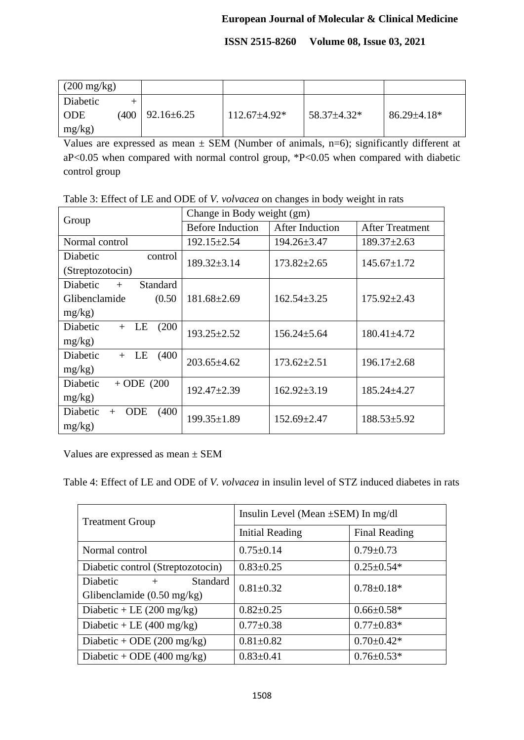| $(200 \text{ mg/kg})$ |      |                  |                  |             |                    |
|-----------------------|------|------------------|------------------|-------------|--------------------|
| Diabetic              |      |                  |                  |             |                    |
| <b>ODE</b>            | (400 | $92.16 \pm 6.25$ | $112.67\pm4.92*$ | 58.37±4.32* | $86.29 \pm 4.18^*$ |
| mg/kg)                |      |                  |                  |             |                    |

Values are expressed as mean  $\pm$  SEM (Number of animals, n=6); significantly different at aP<0.05 when compared with normal control group, \*P<0.05 when compared with diabetic control group

Table 3: Effect of LE and ODE of *V. volvacea* on changes in body weight in rats

| Group                                  | Change in Body weight (gm) |                   |                        |  |  |
|----------------------------------------|----------------------------|-------------------|------------------------|--|--|
|                                        | <b>Before Induction</b>    | After Induction   | <b>After Treatment</b> |  |  |
| Normal control                         | $192.15 \pm 2.54$          | $194.26 \pm 3.47$ | $189.37 \pm 2.63$      |  |  |
| Diabetic<br>control                    | $189.32 \pm 3.14$          | $173.82 \pm 2.65$ | $145.67 \pm 1.72$      |  |  |
| (Streptozotocin)                       |                            |                   |                        |  |  |
| <b>Diabetic</b><br>Standard<br>$+$     |                            |                   |                        |  |  |
| Glibenclamide<br>(0.50)                | $181.68 \pm 2.69$          | $162.54 \pm 3.25$ | $175.92 \pm 2.43$      |  |  |
| $mg/kg$ )                              |                            |                   |                        |  |  |
| (200)<br>Diabetic<br>LE<br>$+$         | $193.25 \pm 2.52$          | $156.24 \pm 5.64$ | $180.41 \pm 4.72$      |  |  |
| mg/kg)                                 |                            |                   |                        |  |  |
| Diabetic<br>(400)<br>LE<br>$+$         | $203.65 \pm 4.62$          | $173.62 \pm 2.51$ | $196.17 \pm 2.68$      |  |  |
| mg/kg)                                 |                            |                   |                        |  |  |
| Diabetic<br>$+$ ODE (200               | $192.47 \pm 2.39$          | $162.92 \pm 3.19$ | $185.24 \pm 4.27$      |  |  |
| $mg/kg$ )                              |                            |                   |                        |  |  |
| Diabetic<br>(400)<br><b>ODE</b><br>$+$ | $199.35 \pm 1.89$          | $152.69 \pm 2.47$ | $188.53 \pm 5.92$      |  |  |
| mg/kg)                                 |                            |                   |                        |  |  |

Values are expressed as mean ± SEM

Table 4: Effect of LE and ODE of *V. volvacea* in insulin level of STZ induced diabetes in rats

| <b>Treatment Group</b>               | Insulin Level (Mean $\pm$ SEM) In mg/dl |                  |  |  |
|--------------------------------------|-----------------------------------------|------------------|--|--|
|                                      | <b>Initial Reading</b>                  | Final Reading    |  |  |
| Normal control                       | $0.75 \pm 0.14$                         | $0.79 \pm 0.73$  |  |  |
| Diabetic control (Streptozotocin)    | $0.83 \pm 0.25$                         | $0.25 \pm 0.54*$ |  |  |
| Diabetic<br><b>Standard</b><br>$+$   | $0.81 \pm 0.32$                         | $0.78 \pm 0.18*$ |  |  |
| Glibenclamide $(0.50 \text{ mg/kg})$ |                                         |                  |  |  |
| Diabetic + LE $(200 \text{ mg/kg})$  | $0.82 \pm 0.25$                         | $0.66 \pm 0.58*$ |  |  |
| Diabetic + LE $(400 \text{ mg/kg})$  | $0.77 \pm 0.38$                         | $0.77 \pm 0.83*$ |  |  |
| Diabetic + ODE $(200 \text{ mg/kg})$ | $0.81 \pm 0.82$                         | $0.70 \pm 0.42*$ |  |  |
| Diabetic + ODE $(400 \text{ mg/kg})$ | $0.83 \pm 0.41$                         | $0.76 \pm 0.53*$ |  |  |